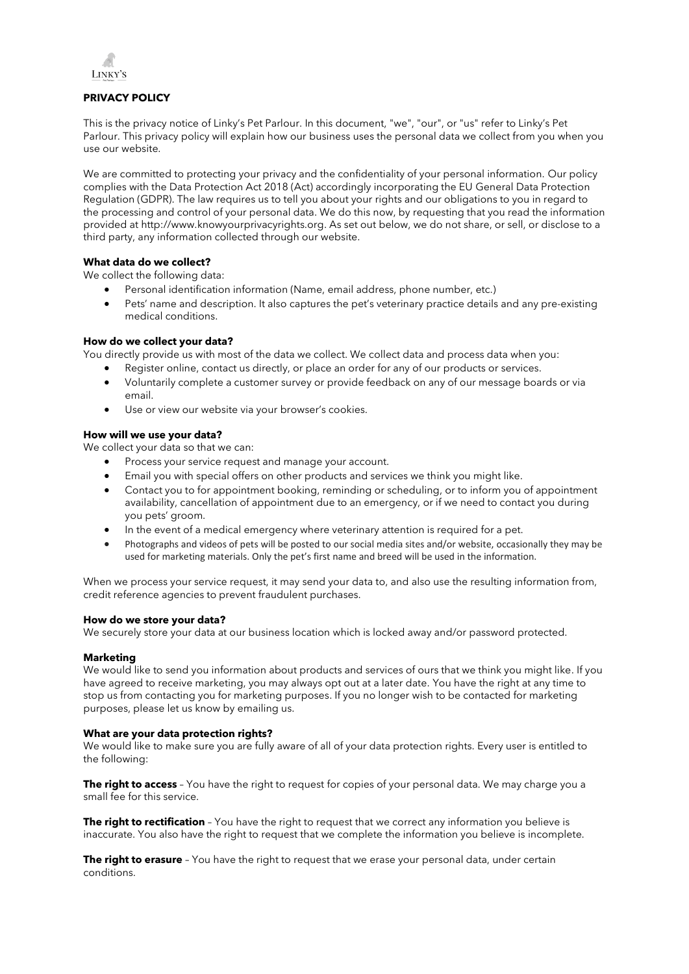

# **PRIVACY POLICY**

This is the privacy notice of Linky's Pet Parlour. In this document, "we", "our", or "us" refer to Linky's Pet Parlour. This privacy policy will explain how our business uses the personal data we collect from you when you use our website.

We are committed to protecting your privacy and the confidentiality of your personal information. Our policy complies with the Data Protection Act 2018 (Act) accordingly incorporating the EU General Data Protection Regulation (GDPR). The law requires us to tell you about your rights and our obligations to you in regard to the processing and control of your personal data. We do this now, by requesting that you read the information provided at [http://www.knowyourprivacyrights.org.](http://www.knowyourprivacyrights.org/) As set out below, we do not share, or sell, or disclose to a third party, any information collected through our website.

# **What data do we collect?**

We collect the following data:

- Personal identification information (Name, email address, phone number, etc.)
- Pets' name and description. It also captures the pet's veterinary practice details and any pre-existing medical conditions.

# **How do we collect your data?**

You directly provide us with most of the data we collect. We collect data and process data when you:

- Register online, contact us directly, or place an order for any of our products or services.
- Voluntarily complete a customer survey or provide feedback on any of our message boards or via email.
- Use or view our website via your browser's cookies.

# **How will we use your data?**

We collect your data so that we can:

- Process your service request and manage your account.
- Email you with special offers on other products and services we think you might like.
- Contact you to for appointment booking, reminding or scheduling, or to inform you of appointment availability, cancellation of appointment due to an emergency, or if we need to contact you during you pets' groom.
- In the event of a medical emergency where veterinary attention is required for a pet.
- Photographs and videos of pets will be posted to our social media sites and/or website, occasionally they may be used for marketing materials. Only the pet's first name and breed will be used in the information.

When we process your service request, it may send your data to, and also use the resulting information from, credit reference agencies to prevent fraudulent purchases.

# **How do we store your data?**

We securely store your data at our business location which is locked away and/or password protected.

# **Marketing**

We would like to send you information about products and services of ours that we think you might like. If you have agreed to receive marketing, you may always opt out at a later date. You have the right at any time to stop us from contacting you for marketing purposes. If you no longer wish to be contacted for marketing purposes, please let us know by emailing us.

# **What are your data protection rights?**

We would like to make sure you are fully aware of all of your data protection rights. Every user is entitled to the following:

**The right to access** – You have the right to request for copies of your personal data. We may charge you a small fee for this service.

**The right to rectification** – You have the right to request that we correct any information you believe is inaccurate. You also have the right to request that we complete the information you believe is incomplete.

**The right to erasure** - You have the right to request that we erase your personal data, under certain conditions.